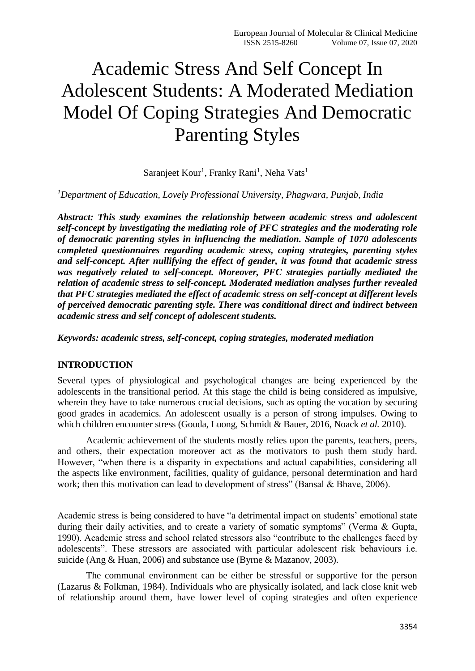# Academic Stress And Self Concept In Adolescent Students: A Moderated Mediation Model Of Coping Strategies And Democratic Parenting Styles

Saranjeet Kour<sup>1</sup>, Franky Rani<sup>1</sup>, Neha Vats<sup>1</sup>

*<sup>1</sup>Department of Education, Lovely Professional University, Phagwara, Punjab, India*

*Abstract: This study examines the relationship between academic stress and adolescent self-concept by investigating the mediating role of PFC strategies and the moderating role of democratic parenting styles in influencing the mediation. Sample of 1070 adolescents completed questionnaires regarding academic stress, coping strategies, parenting styles and self-concept. After nullifying the effect of gender, it was found that academic stress was negatively related to self-concept. Moreover, PFC strategies partially mediated the relation of academic stress to self-concept. Moderated mediation analyses further revealed that PFC strategies mediated the effect of academic stress on self-concept at different levels of perceived democratic parenting style. There was conditional direct and indirect between academic stress and self concept of adolescent students.*

*Keywords: academic stress, self-concept, coping strategies, moderated mediation*

## **INTRODUCTION**

Several types of physiological and psychological changes are being experienced by the adolescents in the transitional period. At this stage the child is being considered as impulsive, wherein they have to take numerous crucial decisions, such as opting the vocation by securing good grades in academics. An adolescent usually is a person of strong impulses. Owing to which children encounter stress (Gouda, Luong, Schmidt & Bauer, 2016, Noack *et al.* 2010).

Academic achievement of the students mostly relies upon the parents, teachers, peers, and others, their expectation moreover act as the motivators to push them study hard. However, "when there is a disparity in expectations and actual capabilities, considering all the aspects like environment, facilities, quality of guidance, personal determination and hard work; then this motivation can lead to development of stress" (Bansal & Bhave, 2006).

Academic stress is being considered to have "a detrimental impact on students' emotional state during their daily activities, and to create a variety of somatic symptoms" (Verma & Gupta, 1990). Academic stress and school related stressors also "contribute to the challenges faced by adolescents". These stressors are associated with particular adolescent risk behaviours i.e. suicide (Ang & Huan, 2006) and substance use (Byrne & Mazanov, 2003).

The communal environment can be either be stressful or supportive for the person (Lazarus & Folkman, 1984). Individuals who are physically isolated, and lack close knit web of relationship around them, have lower level of coping strategies and often experience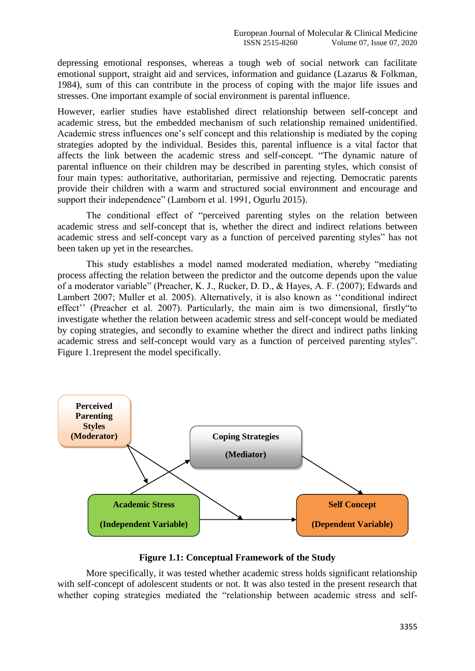depressing emotional responses, whereas a tough web of social network can facilitate emotional support, straight aid and services, information and guidance (Lazarus & Folkman, 1984), sum of this can contribute in the process of coping with the major life issues and stresses. One important example of social environment is parental influence.

However, earlier studies have established direct relationship between self-concept and academic stress, but the embedded mechanism of such relationship remained unidentified. Academic stress influences one's self concept and this relationship is mediated by the coping strategies adopted by the individual. Besides this, parental influence is a vital factor that affects the link between the academic stress and self-concept. "The dynamic nature of parental influence on their children may be described in parenting styles, which consist of four main types: authoritative, authoritarian, permissive and rejecting. Democratic parents provide their children with a warm and structured social environment and encourage and support their independence" (Lamborn et al. 1991, Ogurlu 2015).

The conditional effect of "perceived parenting styles on the relation between academic stress and self-concept that is, whether the direct and indirect relations between academic stress and self-concept vary as a function of perceived parenting styles" has not been taken up yet in the researches.

This study establishes a model named moderated mediation, whereby "mediating process affecting the relation between the predictor and the outcome depends upon the value of a moderator variable" (Preacher, K. J., Rucker, D. D., & Hayes, A. F. (2007); Edwards and Lambert 2007; Muller et al. 2005). Alternatively, it is also known as ''conditional indirect effect'' (Preacher et al. 2007). Particularly, the main aim is two dimensional, firstly"to investigate whether the relation between academic stress and self-concept would be mediated by coping strategies, and secondly to examine whether the direct and indirect paths linking academic stress and self-concept would vary as a function of perceived parenting styles". Figure 1.1represent the model specifically.



**Figure 1.1: Conceptual Framework of the Study**

More specifically, it was tested whether academic stress holds significant relationship with self-concept of adolescent students or not. It was also tested in the present research that whether coping strategies mediated the "relationship between academic stress and self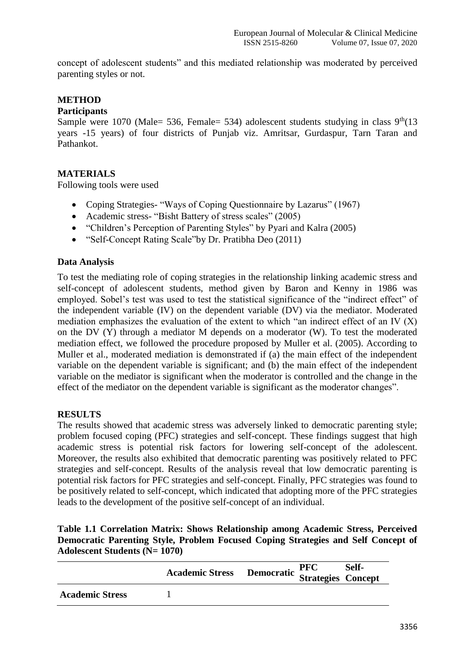concept of adolescent students" and this mediated relationship was moderated by perceived parenting styles or not.

## **METHOD**

## **Participants**

Sample were 1070 (Male= 536, Female= 534) adolescent students studying in class  $9<sup>th</sup>(13)$ years -15 years) of four districts of Punjab viz. Amritsar, Gurdaspur, Tarn Taran and Pathankot.

## **MATERIALS**

Following tools were used

- Coping Strategies- "Ways of Coping Questionnaire by Lazarus" (1967)
- Academic stress- "Bisht Battery of stress scales" (2005)
- "Children's Perception of Parenting Styles" by Pyari and Kalra (2005)
- "Self-Concept Rating Scale"by Dr. Pratibha Deo (2011)

## **Data Analysis**

To test the mediating role of coping strategies in the relationship linking academic stress and self-concept of adolescent students, method given by Baron and Kenny in 1986 was employed. Sobel's test was used to test the statistical significance of the "indirect effect" of the independent variable (IV) on the dependent variable (DV) via the mediator. Moderated mediation emphasizes the evaluation of the extent to which "an indirect effect of an IV (X) on the DV (Y) through a mediator M depends on a moderator (W). To test the moderated mediation effect, we followed the procedure proposed by Muller et al. (2005). According to Muller et al., moderated mediation is demonstrated if (a) the main effect of the independent variable on the dependent variable is significant; and (b) the main effect of the independent variable on the mediator is significant when the moderator is controlled and the change in the effect of the mediator on the dependent variable is significant as the moderator changes".

## **RESULTS**

The results showed that academic stress was adversely linked to democratic parenting style; problem focused coping (PFC) strategies and self-concept. These findings suggest that high academic stress is potential risk factors for lowering self-concept of the adolescent. Moreover, the results also exhibited that democratic parenting was positively related to PFC strategies and self-concept. Results of the analysis reveal that low democratic parenting is potential risk factors for PFC strategies and self-concept. Finally, PFC strategies was found to be positively related to self-concept, which indicated that adopting more of the PFC strategies leads to the development of the positive self-concept of an individual.

## **Table 1.1 Correlation Matrix: Shows Relationship among Academic Stress, Perceived Democratic Parenting Style, Problem Focused Coping Strategies and Self Concept of Adolescent Students (N= 1070)**

|                        | <b>Academic Stress Democratic PFC Self-</b><br>Strategies Concept |  |  |
|------------------------|-------------------------------------------------------------------|--|--|
| <b>Academic Stress</b> |                                                                   |  |  |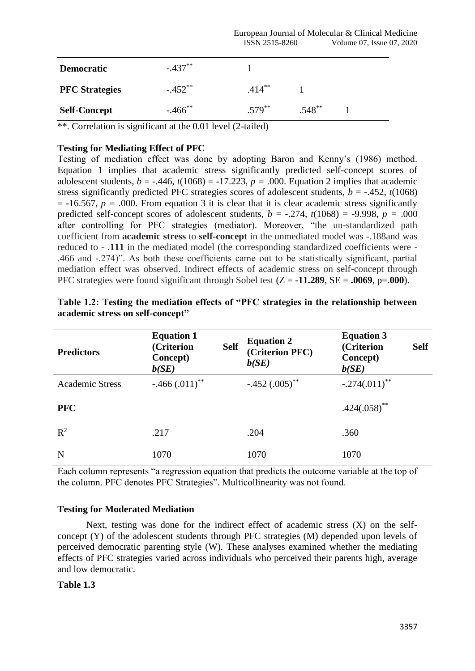| <b>Democratic</b>     | $-.437***$ |           |           |  |
|-----------------------|------------|-----------|-----------|--|
| <b>PFC</b> Strategies | $-.452**$  | $.414***$ |           |  |
| <b>Self-Concept</b>   | $-.466$ ** | $.579***$ | $.548***$ |  |

 $**$ . Correlation is significant at the 0.01 level (2-tailed)

## **Testing for Mediating Effect of PFC**

Testing of mediation effect was done by adopting Baron and Kenny's (1986) method. Equation 1 implies that academic stress significantly predicted self-concept scores of adolescent students,  $b = -0.446$ ,  $t(1068) = -17.223$ ,  $p = 0.000$ . Equation 2 implies that academic stress significantly predicted PFC strategies scores of adolescent students,  $b = -.452$ ,  $t(1068)$  $= -16.567$ ,  $p = .000$ . From equation 3 it is clear that it is clear academic stress significantly predicted self-concept scores of adolescent students,  $b = -.274$ ,  $t(1068) = -9.998$ ,  $p = .000$ after controlling for PFC strategies (mediator). Moreover, "the un-standardized path coefficient from **academic stress** to **self-concept** in the unmediated model was -.188and was reduced to - .**111** in the mediated model (the corresponding standardized coefficients were - .466 and -.274)". As both these coefficients came out to be statistically significant, partial mediation effect was observed. Indirect effects of academic stress on self-concept through PFC strategies were found significant through Sobel test  $(Z = -11.289, SE = .0069, p = .000)$ .

| <b>Predictors</b>      | <b>Equation 1</b><br>(Criterion<br><b>Concept</b> )<br>b(SE) | <b>Self</b> | <b>Equation 2</b><br>(Criterion PFC)<br>b(SE) | <b>Equation 3</b><br>(Criterion<br><b>Self</b><br>Concept)<br>b(SE) |
|------------------------|--------------------------------------------------------------|-------------|-----------------------------------------------|---------------------------------------------------------------------|
| <b>Academic Stress</b> | $-.466(.011)$ **                                             |             | $-.452(.005)$ **                              | $-.274(.011)$ **                                                    |
| <b>PFC</b>             |                                                              |             |                                               | $.424(.058)$ **                                                     |
| $R^2$                  | .217                                                         |             | .204                                          | .360                                                                |
| N                      | 1070                                                         |             | 1070                                          | 1070                                                                |

| Table 1.2: Testing the mediation effects of "PFC strategies in the relationship between |  |  |
|-----------------------------------------------------------------------------------------|--|--|
| academic stress on self-concept"                                                        |  |  |

Each column represents "a regression equation that predicts the outcome variable at the top of the column. PFC denotes PFC Strategies". Multicollinearity was not found.

## **Testing for Moderated Mediation**

Next, testing was done for the indirect effect of academic stress (X) on the selfconcept (Y) of the adolescent students through PFC strategies (M) depended upon levels of perceived democratic parenting style (W). These analyses examined whether the mediating effects of PFC strategies varied across individuals who perceived their parents high, average and low democratic.

## **Table 1.3**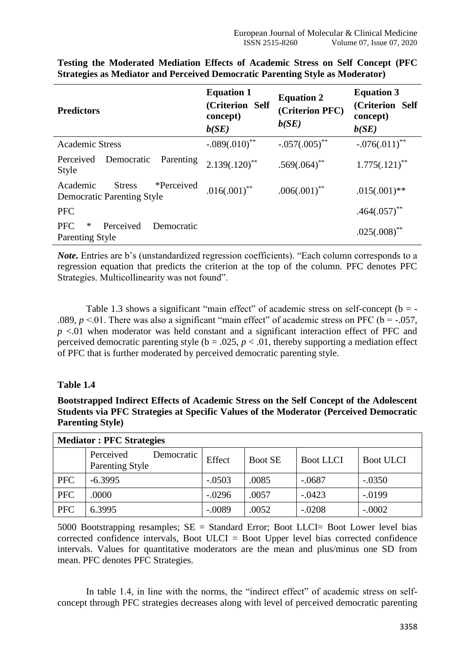| <b>Predictors</b>                                                            | <b>Equation 1</b><br>(Criterion Self<br>concept)<br>b(SE) | <b>Equation 2</b><br>(Criterion PFC)<br>b(SE) | <b>Equation 3</b><br>(Criterion Self<br>concept)<br>b(SE) |
|------------------------------------------------------------------------------|-----------------------------------------------------------|-----------------------------------------------|-----------------------------------------------------------|
| <b>Academic Stress</b>                                                       | $-.089(.010)$ **                                          | $-.057(.005)$ **                              | $-.076(.011)$ <sup>**</sup>                               |
| Perceived<br>Democratic<br>Parenting<br>Style                                | $2.139(.120)$ <sup>**</sup>                               | $.569(.064)^{**}$                             | $1.775(.121)$ **                                          |
| *Perceived<br>Academic<br><b>Stress</b><br><b>Democratic Parenting Style</b> | $.016(.001)$ **                                           | $.006(.001)$ **                               | $.015(.001)$ **                                           |
| <b>PFC</b>                                                                   |                                                           |                                               | $.464(.057)$ **                                           |
| Perceived<br><b>PFC</b><br>∗<br>Democratic<br><b>Parenting Style</b>         |                                                           |                                               | $.025(.008)$ **                                           |

**Testing the Moderated Mediation Effects of Academic Stress on Self Concept (PFC Strategies as Mediator and Perceived Democratic Parenting Style as Moderator)**

*Note*. Entries are b's (unstandardized regression coefficients). "Each column corresponds to a regression equation that predicts the criterion at the top of the column. PFC denotes PFC Strategies. Multicollinearity was not found".

Table 1.3 shows a significant "main effect" of academic stress on self-concept ( $b = -$ .089,  $p < 01$ . There was also a significant "main effect" of academic stress on PFC ( $b = -0.057$ , *p* <.01 when moderator was held constant and a significant interaction effect of PFC and perceived democratic parenting style ( $b = .025$ ,  $p < .01$ , thereby supporting a mediation effect of PFC that is further moderated by perceived democratic parenting style.

## **Table 1.4**

**Bootstrapped Indirect Effects of Academic Stress on the Self Concept of the Adolescent Students via PFC Strategies at Specific Values of the Moderator (Perceived Democratic Parenting Style)**

| <b>Mediator: PFC Strategies</b> |                                                   |          |                |                  |                  |  |
|---------------------------------|---------------------------------------------------|----------|----------------|------------------|------------------|--|
|                                 | Perceived<br>Democratic<br><b>Parenting Style</b> | Effect   | <b>Boot SE</b> | <b>Boot LLCI</b> | <b>Boot ULCI</b> |  |
| <b>PFC</b>                      | $-6.3995$                                         | $-.0503$ | .0085          | $-.0687$         | $-.0350$         |  |
| <b>PFC</b>                      | .0000                                             | $-.0296$ | .0057          | $-.0423$         | $-.0199$         |  |
| <b>PFC</b>                      | 6.3995                                            | $-.0089$ | .0052          | $-.0208$         | $-.0002$         |  |

5000 Bootstrapping resamples;  $SE = Standard Error$ ; Boot LLCI= Boot Lower level bias corrected confidence intervals, Boot  $ULCI = B$ oot Upper level bias corrected confidence intervals. Values for quantitative moderators are the mean and plus/minus one SD from mean. PFC denotes PFC Strategies.

In table 1.4, in line with the norms, the "indirect effect" of academic stress on selfconcept through PFC strategies decreases along with level of perceived democratic parenting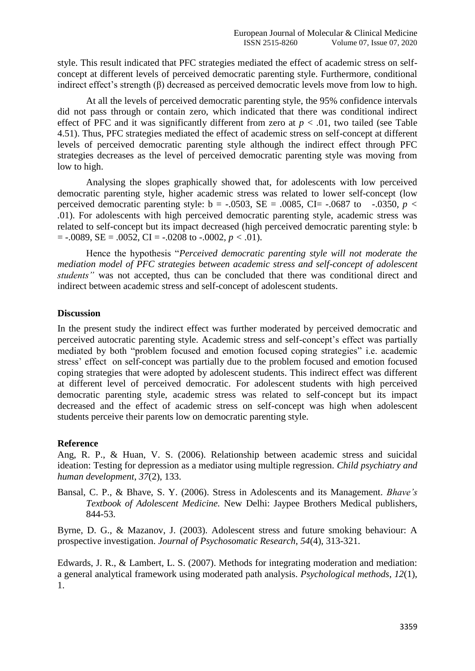style. This result indicated that PFC strategies mediated the effect of academic stress on selfconcept at different levels of perceived democratic parenting style. Furthermore, conditional indirect effect's strength (β) decreased as perceived democratic levels move from low to high.

At all the levels of perceived democratic parenting style, the 95% confidence intervals did not pass through or contain zero, which indicated that there was conditional indirect effect of PFC and it was significantly different from zero at  $p < .01$ , two tailed (see Table 4.51). Thus, PFC strategies mediated the effect of academic stress on self-concept at different levels of perceived democratic parenting style although the indirect effect through PFC strategies decreases as the level of perceived democratic parenting style was moving from low to high.

Analysing the slopes graphically showed that, for adolescents with low perceived democratic parenting style, higher academic stress was related to lower self-concept (low perceived democratic parenting style:  $b = -.0503$ ,  $SE = .0085$ ,  $CI = -.0687$  to  $-.0350$ ,  $p <$ *.*01). For adolescents with high perceived democratic parenting style, academic stress was related to self-concept but its impact decreased (high perceived democratic parenting style: b  $=$  -.0089, SE = .0052, CI = -.0208 to -.0002,  $p < .01$ ).

Hence the hypothesis "*Perceived democratic parenting style will not moderate the mediation model of PFC strategies between academic stress and self-concept of adolescent students"* was not accepted, thus can be concluded that there was conditional direct and indirect between academic stress and self-concept of adolescent students.

#### **Discussion**

In the present study the indirect effect was further moderated by perceived democratic and perceived autocratic parenting style. Academic stress and self-concept's effect was partially mediated by both "problem focused and emotion focused coping strategies" i.e. academic stress' effect on self-concept was partially due to the problem focused and emotion focused coping strategies that were adopted by adolescent students. This indirect effect was different at different level of perceived democratic. For adolescent students with high perceived democratic parenting style, academic stress was related to self-concept but its impact decreased and the effect of academic stress on self-concept was high when adolescent students perceive their parents low on democratic parenting style.

## **Reference**

Ang, R. P., & Huan, V. S. (2006). Relationship between academic stress and suicidal ideation: Testing for depression as a mediator using multiple regression. *Child psychiatry and human development*, *37*(2), 133.

Bansal, C. P., & Bhave, S. Y. (2006). Stress in Adolescents and its Management. *Bhave's Textbook of Adolescent Medicine.* New Delhi: Jaypee Brothers Medical publishers, 844-53.

Byrne, D. G., & Mazanov, J. (2003). Adolescent stress and future smoking behaviour: A prospective investigation. *Journal of Psychosomatic Research*, *54*(4), 313-321.

Edwards, J. R., & Lambert, L. S. (2007). Methods for integrating moderation and mediation: a general analytical framework using moderated path analysis. *Psychological methods*, *12*(1), 1.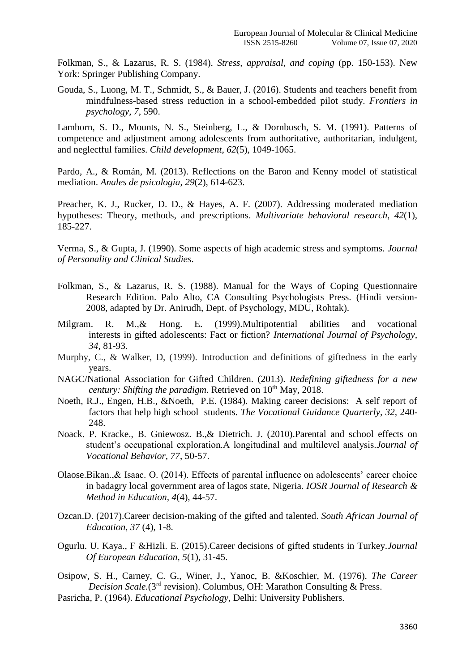Folkman, S., & Lazarus, R. S. (1984). *Stress, appraisal, and coping* (pp. 150-153). New York: Springer Publishing Company.

Gouda, S., Luong, M. T., Schmidt, S., & Bauer, J. (2016). Students and teachers benefit from mindfulness-based stress reduction in a school-embedded pilot study. *Frontiers in psychology*, *7*, 590.

Lamborn, S. D., Mounts, N. S., Steinberg, L., & Dornbusch, S. M. (1991). Patterns of competence and adjustment among adolescents from authoritative, authoritarian, indulgent, and neglectful families. *Child development*, *62*(5), 1049-1065.

Pardo, A., & Román, M. (2013). Reflections on the Baron and Kenny model of statistical mediation. *Anales de psicologia*, *29*(2), 614-623.

Preacher, K. J., Rucker, D. D., & Hayes, A. F. (2007). Addressing moderated mediation hypotheses: Theory, methods, and prescriptions. *Multivariate behavioral research*, *42*(1), 185-227.

Verma, S., & Gupta, J. (1990). Some aspects of high academic stress and symptoms. *Journal of Personality and Clinical Studies*.

- Folkman, S., & Lazarus, R. S. (1988). Manual for the Ways of Coping Questionnaire Research Edition. Palo Alto, CA Consulting Psychologists Press. (Hindi version-2008, adapted by Dr. Anirudh, Dept. of Psychology, MDU, Rohtak).
- Milgram. R. M.,& Hong. E. (1999).Multipotential abilities and vocational interests in gifted adolescents: Fact or fiction? *International Journal of Psychology, 34,* 81-93.
- Murphy, C., & Walker, D, (1999). Introduction and definitions of giftedness in the early years.
- NAGC/National Association for Gifted Children. (2013). *Redefining giftedness for a new century: Shifting the paradigm.* Retrieved on 10<sup>th</sup> May, 2018.
- Noeth, R.J., Engen, H.B., &Noeth, P.E. (1984). Making career decisions: A self report of factors that help high school students. *The Vocational Guidance Quarterly, 32,* 240- 248.
- Noack. P. Kracke., B. Gniewosz. B.,& Dietrich. J. (2010).Parental and school effects on student's occupational exploration.A longitudinal and multilevel analysis.*Journal of Vocational Behavior, 77*, 50-57.
- Olaose.Bikan.,& Isaac. O. (2014). Effects of parental influence on adolescents' career choice in badagry local government area of lagos state, Nigeria. *IOSR Journal of Research & Method in Education, 4*(4), 44-57.
- Ozcan.D. (2017).Career decision-making of the gifted and talented. *South African Journal of Education, 37* (4), 1-8.
- Ogurlu. U. Kaya., F &Hizli. E. (2015).Career decisions of gifted students in Turkey.*Journal Of European Education, 5*(1), 31-45.
- Osipow, S. H., Carney, C. G., Winer, J., Yanoc, B. &Koschier, M. (1976). *The Career Decision Scale.*(3<sup>rd</sup> revision). Columbus, OH: Marathon Consulting & Press.
- Pasricha, P. (1964). *Educational Psychology,* Delhi: University Publishers.